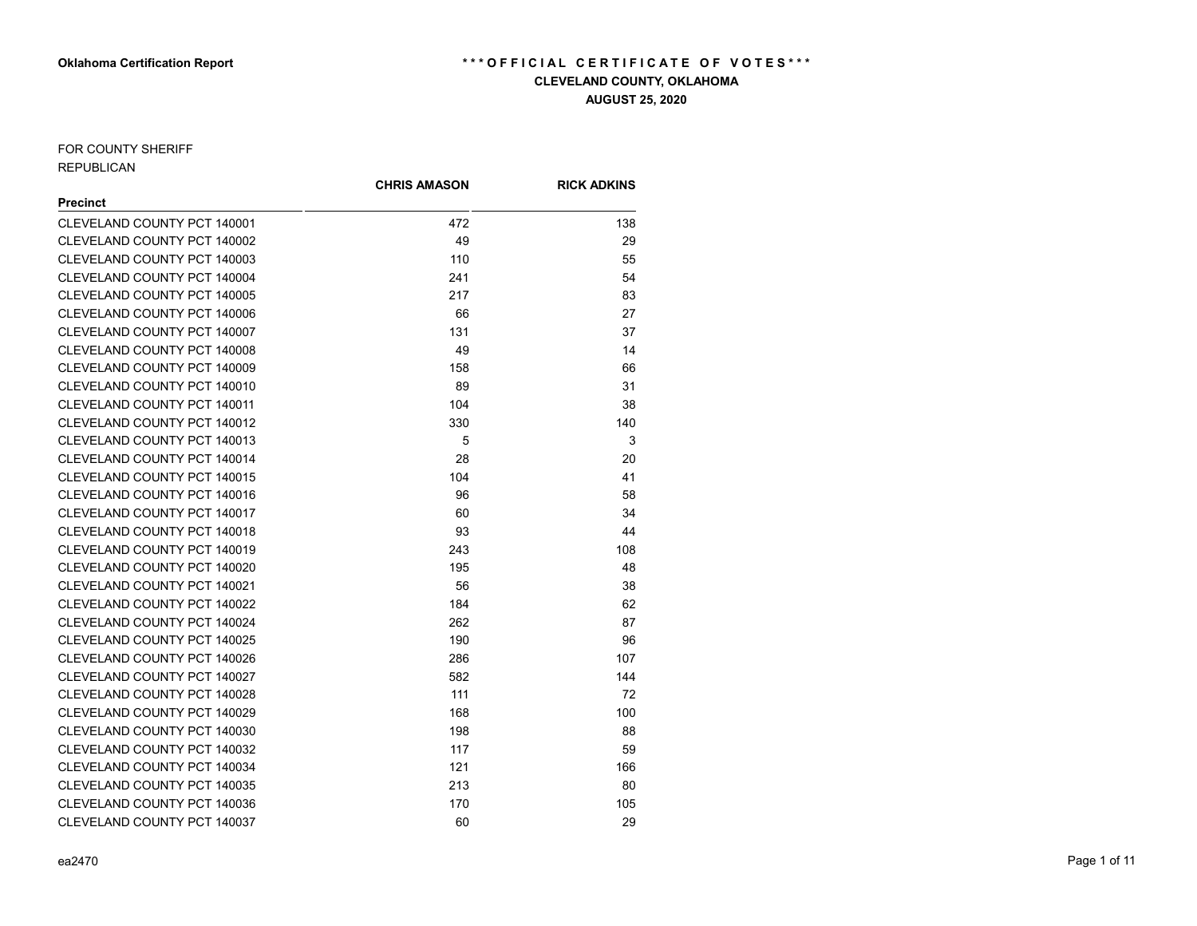## FOR COUNTY SHERIFF REPUBLICAN

|                                    | <b>CHRIS AMASON</b> | <b>RICK ADKINS</b> |
|------------------------------------|---------------------|--------------------|
| <b>Precinct</b>                    |                     |                    |
| CLEVELAND COUNTY PCT 140001        | 472                 | 138                |
| CLEVELAND COUNTY PCT 140002        | 49                  | 29                 |
| CLEVELAND COUNTY PCT 140003        | 110                 | 55                 |
| CLEVELAND COUNTY PCT 140004        | 241                 | 54                 |
| CLEVELAND COUNTY PCT 140005        | 217                 | 83                 |
| CLEVELAND COUNTY PCT 140006        | 66                  | 27                 |
| CLEVELAND COUNTY PCT 140007        | 131                 | 37                 |
| CLEVELAND COUNTY PCT 140008        | 49                  | 14                 |
| CLEVELAND COUNTY PCT 140009        | 158                 | 66                 |
| CLEVELAND COUNTY PCT 140010        | 89                  | 31                 |
| <b>CLEVELAND COUNTY PCT 140011</b> | 104                 | 38                 |
| <b>CLEVELAND COUNTY PCT 140012</b> | 330                 | 140                |
| CLEVELAND COUNTY PCT 140013        | 5                   | 3                  |
| CLEVELAND COUNTY PCT 140014        | 28                  | 20                 |
| <b>CLEVELAND COUNTY PCT 140015</b> | 104                 | 41                 |
| CLEVELAND COUNTY PCT 140016        | 96                  | 58                 |
| CLEVELAND COUNTY PCT 140017        | 60                  | 34                 |
| <b>CLEVELAND COUNTY PCT 140018</b> | 93                  | 44                 |
| CLEVELAND COUNTY PCT 140019        | 243                 | 108                |
| CLEVELAND COUNTY PCT 140020        | 195                 | 48                 |
| CLEVELAND COUNTY PCT 140021        | 56                  | 38                 |
| CLEVELAND COUNTY PCT 140022        | 184                 | 62                 |
| CLEVELAND COUNTY PCT 140024        | 262                 | 87                 |
| CLEVELAND COUNTY PCT 140025        | 190                 | 96                 |
| CLEVELAND COUNTY PCT 140026        | 286                 | 107                |
| CLEVELAND COUNTY PCT 140027        | 582                 | 144                |
| CLEVELAND COUNTY PCT 140028        | 111                 | 72                 |
| CLEVELAND COUNTY PCT 140029        | 168                 | 100                |
| CLEVELAND COUNTY PCT 140030        | 198                 | 88                 |
| CLEVELAND COUNTY PCT 140032        | 117                 | 59                 |
| CLEVELAND COUNTY PCT 140034        | 121                 | 166                |
| CLEVELAND COUNTY PCT 140035        | 213                 | 80                 |
| CLEVELAND COUNTY PCT 140036        | 170                 | 105                |
| CLEVELAND COUNTY PCT 140037        | 60                  | 29                 |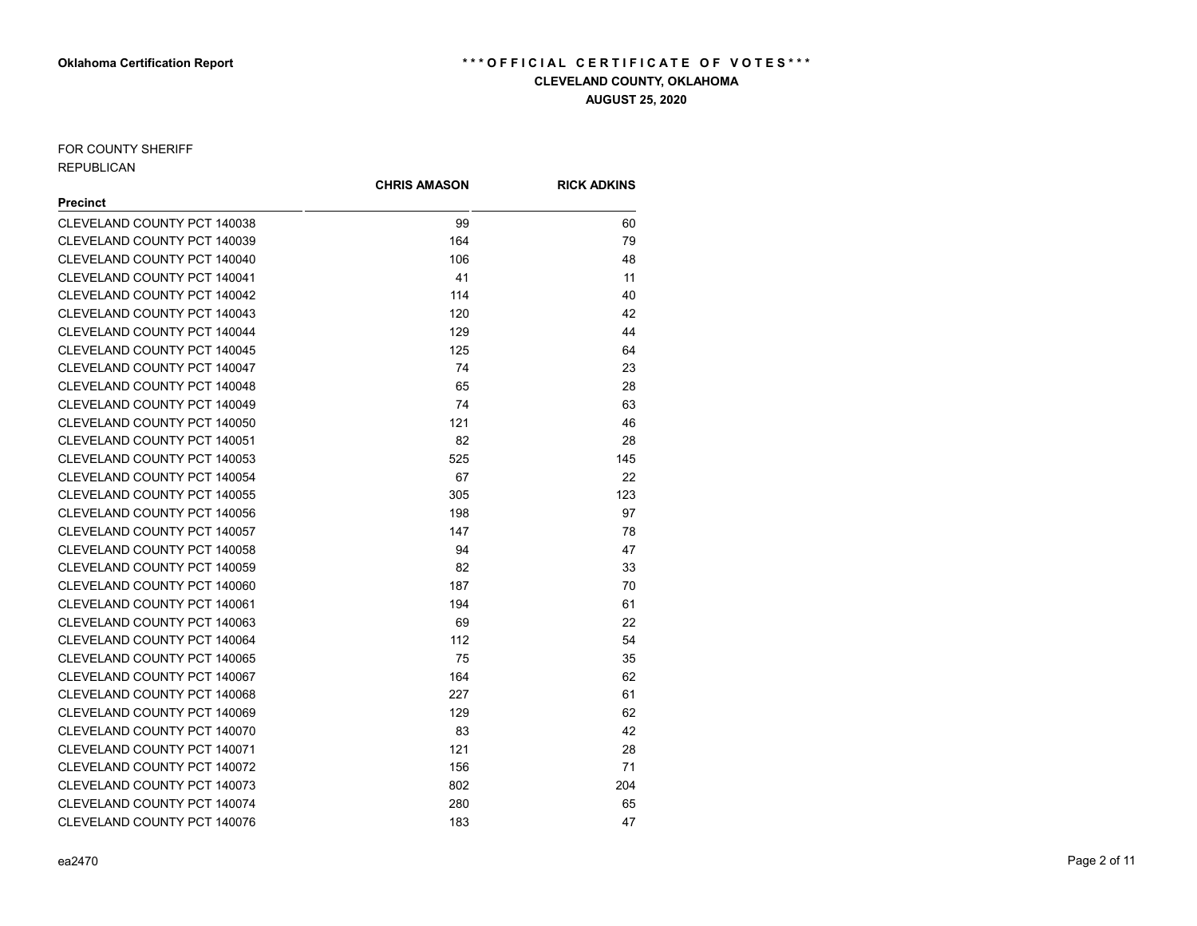## FOR COUNTY SHERIFF REPUBLICAN

|                                    | <b>CHRIS AMASON</b> | <b>RICK ADKINS</b> |
|------------------------------------|---------------------|--------------------|
| <b>Precinct</b>                    |                     |                    |
| CLEVELAND COUNTY PCT 140038        | 99                  | 60                 |
| CLEVELAND COUNTY PCT 140039        | 164                 | 79                 |
| CLEVELAND COUNTY PCT 140040        | 106                 | 48                 |
| CLEVELAND COUNTY PCT 140041        | 41                  | 11                 |
| CLEVELAND COUNTY PCT 140042        | 114                 | 40                 |
| CLEVELAND COUNTY PCT 140043        | 120                 | 42                 |
| CLEVELAND COUNTY PCT 140044        | 129                 | 44                 |
| CLEVELAND COUNTY PCT 140045        | 125                 | 64                 |
| CLEVELAND COUNTY PCT 140047        | 74                  | 23                 |
| CLEVELAND COUNTY PCT 140048        | 65                  | 28                 |
| CLEVELAND COUNTY PCT 140049        | 74                  | 63                 |
| CLEVELAND COUNTY PCT 140050        | 121                 | 46                 |
| CLEVELAND COUNTY PCT 140051        | 82                  | 28                 |
| CLEVELAND COUNTY PCT 140053        | 525                 | 145                |
| CLEVELAND COUNTY PCT 140054        | 67                  | 22                 |
| CLEVELAND COUNTY PCT 140055        | 305                 | 123                |
| CLEVELAND COUNTY PCT 140056        | 198                 | 97                 |
| CLEVELAND COUNTY PCT 140057        | 147                 | 78                 |
| CLEVELAND COUNTY PCT 140058        | 94                  | 47                 |
| CLEVELAND COUNTY PCT 140059        | 82                  | 33                 |
| CLEVELAND COUNTY PCT 140060        | 187                 | 70                 |
| CLEVELAND COUNTY PCT 140061        | 194                 | 61                 |
| <b>CLEVELAND COUNTY PCT 140063</b> | 69                  | 22                 |
| CLEVELAND COUNTY PCT 140064        | 112                 | 54                 |
| CLEVELAND COUNTY PCT 140065        | 75                  | 35                 |
| CLEVELAND COUNTY PCT 140067        | 164                 | 62                 |
| CLEVELAND COUNTY PCT 140068        | 227                 | 61                 |
| CLEVELAND COUNTY PCT 140069        | 129                 | 62                 |
| CLEVELAND COUNTY PCT 140070        | 83                  | 42                 |
| CLEVELAND COUNTY PCT 140071        | 121                 | 28                 |
| CLEVELAND COUNTY PCT 140072        | 156                 | 71                 |
| CLEVELAND COUNTY PCT 140073        | 802                 | 204                |
| CLEVELAND COUNTY PCT 140074        | 280                 | 65                 |
| CLEVELAND COUNTY PCT 140076        | 183                 | 47                 |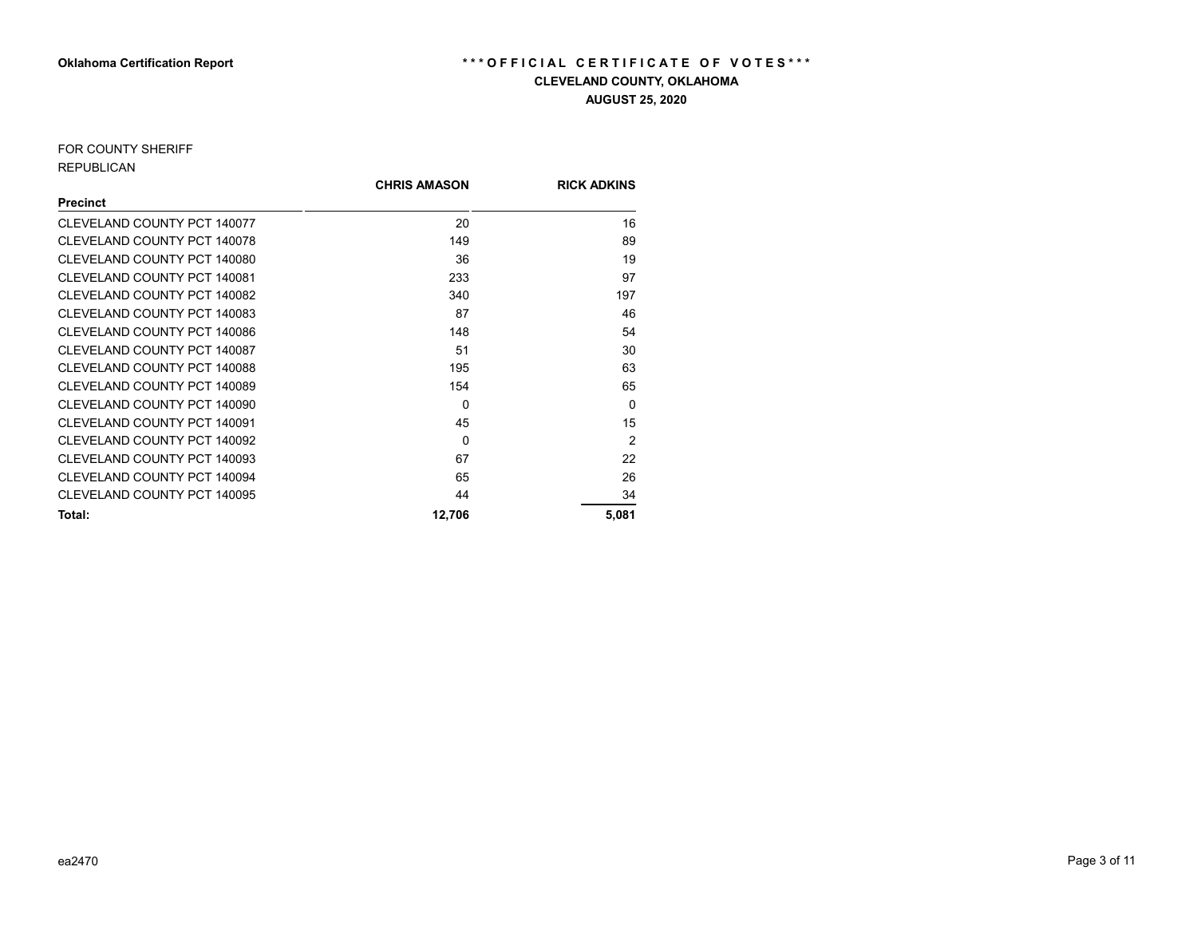## FOR COUNTY SHERIFF REPUBLICAN

|                             | <b>CHRIS AMASON</b> | <b>RICK ADKINS</b> |
|-----------------------------|---------------------|--------------------|
| <b>Precinct</b>             |                     |                    |
| CLEVELAND COUNTY PCT 140077 | 20                  | 16                 |
| CLEVELAND COUNTY PCT 140078 | 149                 | 89                 |
| CLEVELAND COUNTY PCT 140080 | 36                  | 19                 |
| CLEVELAND COUNTY PCT 140081 | 233                 | 97                 |
| CLEVELAND COUNTY PCT 140082 | 340                 | 197                |
| CLEVELAND COUNTY PCT 140083 | 87                  | 46                 |
| CLEVELAND COUNTY PCT 140086 | 148                 | 54                 |
| CLEVELAND COUNTY PCT 140087 | 51                  | 30                 |
| CLEVELAND COUNTY PCT 140088 | 195                 | 63                 |
| CLEVELAND COUNTY PCT 140089 | 154                 | 65                 |
| CLEVELAND COUNTY PCT 140090 | $\Omega$            | $\Omega$           |
| CLEVELAND COUNTY PCT 140091 | 45                  | 15                 |
| CLEVELAND COUNTY PCT 140092 | $\Omega$            | $\mathfrak{p}$     |
| CLEVELAND COUNTY PCT 140093 | 67                  | 22                 |
| CLEVELAND COUNTY PCT 140094 | 65                  | 26                 |
| CLEVELAND COUNTY PCT 140095 | 44                  | 34                 |
| Total:                      | 12,706              | 5,081              |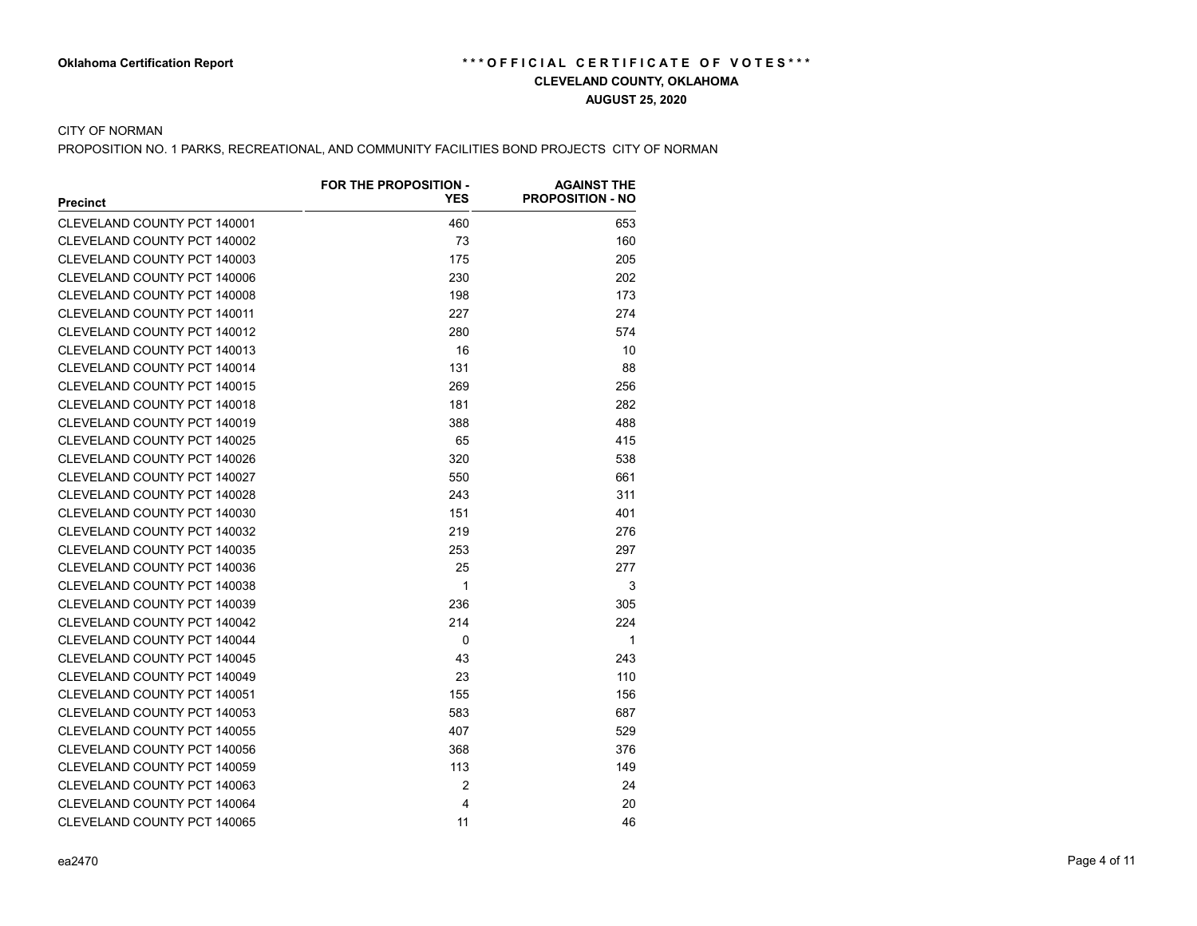### CITY OF NORMAN

PROPOSITION NO. 1 PARKS, RECREATIONAL, AND COMMUNITY FACILITIES BOND PROJECTS CITY OF NORMAN

|                                    | FOR THE PROPOSITION - | <b>AGAINST THE</b>      |
|------------------------------------|-----------------------|-------------------------|
| <b>Precinct</b>                    | <b>YES</b>            | <b>PROPOSITION - NO</b> |
| CLEVELAND COUNTY PCT 140001        | 460                   | 653                     |
| <b>CLEVELAND COUNTY PCT 140002</b> | 73                    | 160                     |
| CLEVELAND COUNTY PCT 140003        | 175                   | 205                     |
| CLEVELAND COUNTY PCT 140006        | 230                   | 202                     |
| CLEVELAND COUNTY PCT 140008        | 198                   | 173                     |
| CLEVELAND COUNTY PCT 140011        | 227                   | 274                     |
| CLEVELAND COUNTY PCT 140012        | 280                   | 574                     |
| CLEVELAND COUNTY PCT 140013        | 16                    | 10                      |
| CLEVELAND COUNTY PCT 140014        | 131                   | 88                      |
| <b>CLEVELAND COUNTY PCT 140015</b> | 269                   | 256                     |
| CLEVELAND COUNTY PCT 140018        | 181                   | 282                     |
| CLEVELAND COUNTY PCT 140019        | 388                   | 488                     |
| <b>CLEVELAND COUNTY PCT 140025</b> | 65                    | 415                     |
| CLEVELAND COUNTY PCT 140026        | 320                   | 538                     |
| CLEVELAND COUNTY PCT 140027        | 550                   | 661                     |
| CLEVELAND COUNTY PCT 140028        | 243                   | 311                     |
| CLEVELAND COUNTY PCT 140030        | 151                   | 401                     |
| <b>CLEVELAND COUNTY PCT 140032</b> | 219                   | 276                     |
| CLEVELAND COUNTY PCT 140035        | 253                   | 297                     |
| CLEVELAND COUNTY PCT 140036        | 25                    | 277                     |
| CLEVELAND COUNTY PCT 140038        | $\mathbf 1$           | 3                       |
| <b>CLEVELAND COUNTY PCT 140039</b> | 236                   | 305                     |
| CLEVELAND COUNTY PCT 140042        | 214                   | 224                     |
| CLEVELAND COUNTY PCT 140044        | $\Omega$              | 1                       |
| CLEVELAND COUNTY PCT 140045        | 43                    | 243                     |
| <b>CLEVELAND COUNTY PCT 140049</b> | 23                    | 110                     |
| CLEVELAND COUNTY PCT 140051        | 155                   | 156                     |
| CLEVELAND COUNTY PCT 140053        | 583                   | 687                     |
| CLEVELAND COUNTY PCT 140055        | 407                   | 529                     |
| CLEVELAND COUNTY PCT 140056        | 368                   | 376                     |
| CLEVELAND COUNTY PCT 140059        | 113                   | 149                     |
| CLEVELAND COUNTY PCT 140063        | $\overline{2}$        | 24                      |
| CLEVELAND COUNTY PCT 140064        | $\overline{4}$        | 20                      |
| CLEVELAND COUNTY PCT 140065        | 11                    | 46                      |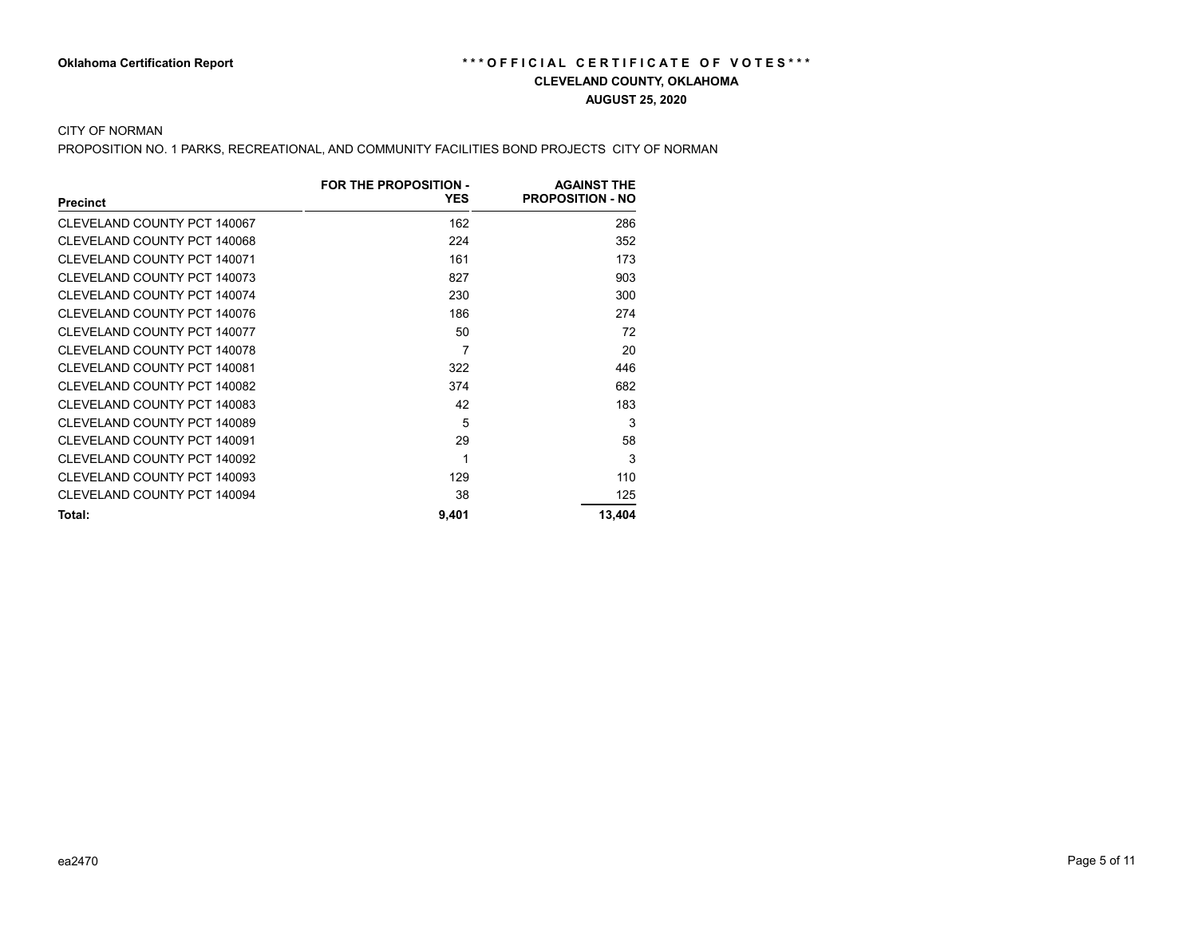### CITY OF NORMAN

PROPOSITION NO. 1 PARKS, RECREATIONAL, AND COMMUNITY FACILITIES BOND PROJECTS CITY OF NORMAN

|                             | FOR THE PROPOSITION - | <b>AGAINST THE</b>      |
|-----------------------------|-----------------------|-------------------------|
| <b>Precinct</b>             | <b>YES</b>            | <b>PROPOSITION - NO</b> |
| CLEVELAND COUNTY PCT 140067 | 162                   | 286                     |
| CLEVELAND COUNTY PCT 140068 | 224                   | 352                     |
| CLEVELAND COUNTY PCT 140071 | 161                   | 173                     |
| CLEVELAND COUNTY PCT 140073 | 827                   | 903                     |
| CLEVELAND COUNTY PCT 140074 | 230                   | 300                     |
| CLEVELAND COUNTY PCT 140076 | 186                   | 274                     |
| CLEVELAND COUNTY PCT 140077 | 50                    | 72                      |
| CLEVELAND COUNTY PCT 140078 | 7                     | 20                      |
| CLEVELAND COUNTY PCT 140081 | 322                   | 446                     |
| CLEVELAND COUNTY PCT 140082 | 374                   | 682                     |
| CLEVELAND COUNTY PCT 140083 | 42                    | 183                     |
| CLEVELAND COUNTY PCT 140089 | 5                     | 3                       |
| CLEVELAND COUNTY PCT 140091 | 29                    | 58                      |
| CLEVELAND COUNTY PCT 140092 | 1                     | 3                       |
| CLEVELAND COUNTY PCT 140093 | 129                   | 110                     |
| CLEVELAND COUNTY PCT 140094 | 38                    | 125                     |
| Total:                      | 9,401                 | 13,404                  |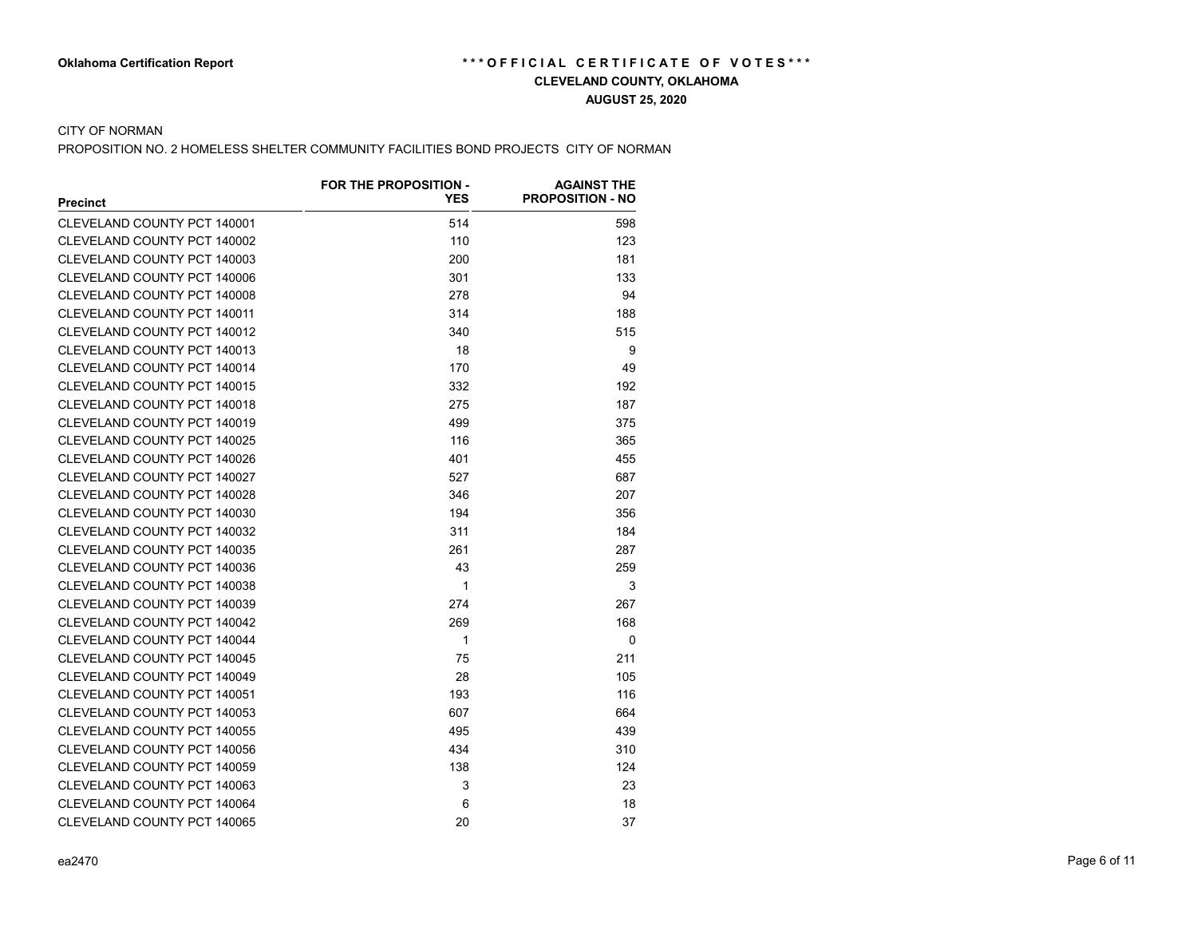### CITY OF NORMAN

PROPOSITION NO. 2 HOMELESS SHELTER COMMUNITY FACILITIES BOND PROJECTS CITY OF NORMAN

|                                    | FOR THE PROPOSITION - | <b>AGAINST THE</b>      |
|------------------------------------|-----------------------|-------------------------|
| <b>Precinct</b>                    | <b>YES</b>            | <b>PROPOSITION - NO</b> |
| CLEVELAND COUNTY PCT 140001        | 514                   | 598                     |
| CLEVELAND COUNTY PCT 140002        | 110                   | 123                     |
| CLEVELAND COUNTY PCT 140003        | 200                   | 181                     |
| CLEVELAND COUNTY PCT 140006        | 301                   | 133                     |
| CLEVELAND COUNTY PCT 140008        | 278                   | 94                      |
| CLEVELAND COUNTY PCT 140011        | 314                   | 188                     |
| CLEVELAND COUNTY PCT 140012        | 340                   | 515                     |
| CLEVELAND COUNTY PCT 140013        | 18                    | 9                       |
| CLEVELAND COUNTY PCT 140014        | 170                   | 49                      |
| CLEVELAND COUNTY PCT 140015        | 332                   | 192                     |
| CLEVELAND COUNTY PCT 140018        | 275                   | 187                     |
| <b>CLEVELAND COUNTY PCT 140019</b> | 499                   | 375                     |
| CLEVELAND COUNTY PCT 140025        | 116                   | 365                     |
| CLEVELAND COUNTY PCT 140026        | 401                   | 455                     |
| CLEVELAND COUNTY PCT 140027        | 527                   | 687                     |
| CLEVELAND COUNTY PCT 140028        | 346                   | 207                     |
| CLEVELAND COUNTY PCT 140030        | 194                   | 356                     |
| CLEVELAND COUNTY PCT 140032        | 311                   | 184                     |
| <b>CLEVELAND COUNTY PCT 140035</b> | 261                   | 287                     |
| CLEVELAND COUNTY PCT 140036        | 43                    | 259                     |
| CLEVELAND COUNTY PCT 140038        | 1                     | 3                       |
| CLEVELAND COUNTY PCT 140039        | 274                   | 267                     |
| CLEVELAND COUNTY PCT 140042        | 269                   | 168                     |
| CLEVELAND COUNTY PCT 140044        | 1                     | 0                       |
| CLEVELAND COUNTY PCT 140045        | 75                    | 211                     |
| CLEVELAND COUNTY PCT 140049        | 28                    | 105                     |
| CLEVELAND COUNTY PCT 140051        | 193                   | 116                     |
| CLEVELAND COUNTY PCT 140053        | 607                   | 664                     |
| <b>CLEVELAND COUNTY PCT 140055</b> | 495                   | 439                     |
| CLEVELAND COUNTY PCT 140056        | 434                   | 310                     |
| CLEVELAND COUNTY PCT 140059        | 138                   | 124                     |
| CLEVELAND COUNTY PCT 140063        | 3                     | 23                      |
| CLEVELAND COUNTY PCT 140064        | 6                     | 18                      |
| CLEVELAND COUNTY PCT 140065        | 20                    | 37                      |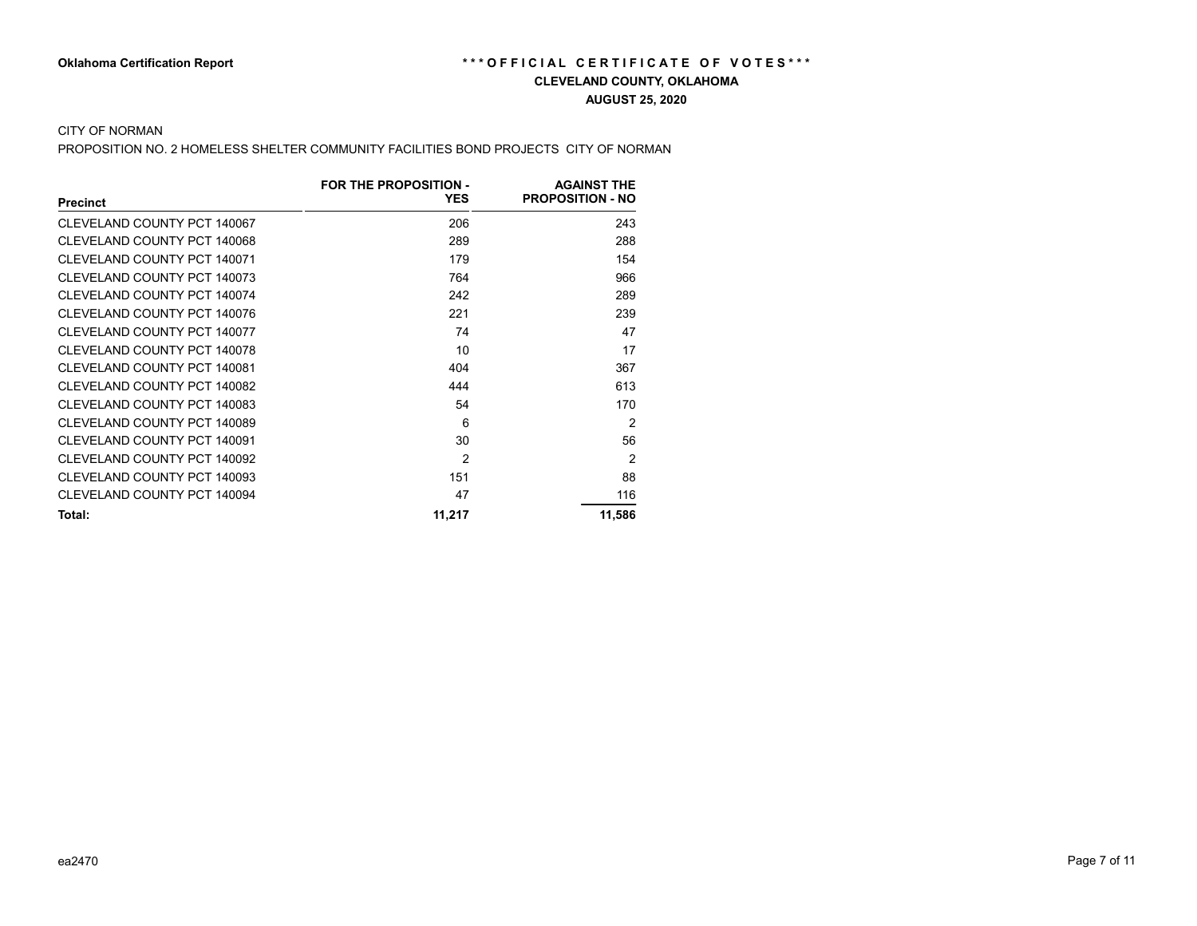### CITY OF NORMAN

PROPOSITION NO. 2 HOMELESS SHELTER COMMUNITY FACILITIES BOND PROJECTS CITY OF NORMAN

|                             | FOR THE PROPOSITION - | <b>AGAINST THE</b>      |
|-----------------------------|-----------------------|-------------------------|
| <b>Precinct</b>             | <b>YES</b>            | <b>PROPOSITION - NO</b> |
| CLEVELAND COUNTY PCT 140067 | 206                   | 243                     |
| CLEVELAND COUNTY PCT 140068 | 289                   | 288                     |
| CLEVELAND COUNTY PCT 140071 | 179                   | 154                     |
| CLEVELAND COUNTY PCT 140073 | 764                   | 966                     |
| CLEVELAND COUNTY PCT 140074 | 242                   | 289                     |
| CLEVELAND COUNTY PCT 140076 | 221                   | 239                     |
| CLEVELAND COUNTY PCT 140077 | 74                    | 47                      |
| CLEVELAND COUNTY PCT 140078 | 10                    | 17                      |
| CLEVELAND COUNTY PCT 140081 | 404                   | 367                     |
| CLEVELAND COUNTY PCT 140082 | 444                   | 613                     |
| CLEVELAND COUNTY PCT 140083 | 54                    | 170                     |
| CLEVELAND COUNTY PCT 140089 | 6                     | 2                       |
| CLEVELAND COUNTY PCT 140091 | 30                    | 56                      |
| CLEVELAND COUNTY PCT 140092 | 2                     | 2                       |
| CLEVELAND COUNTY PCT 140093 | 151                   | 88                      |
| CLEVELAND COUNTY PCT 140094 | 47                    | 116                     |
| Total:                      | 11,217                | 11,586                  |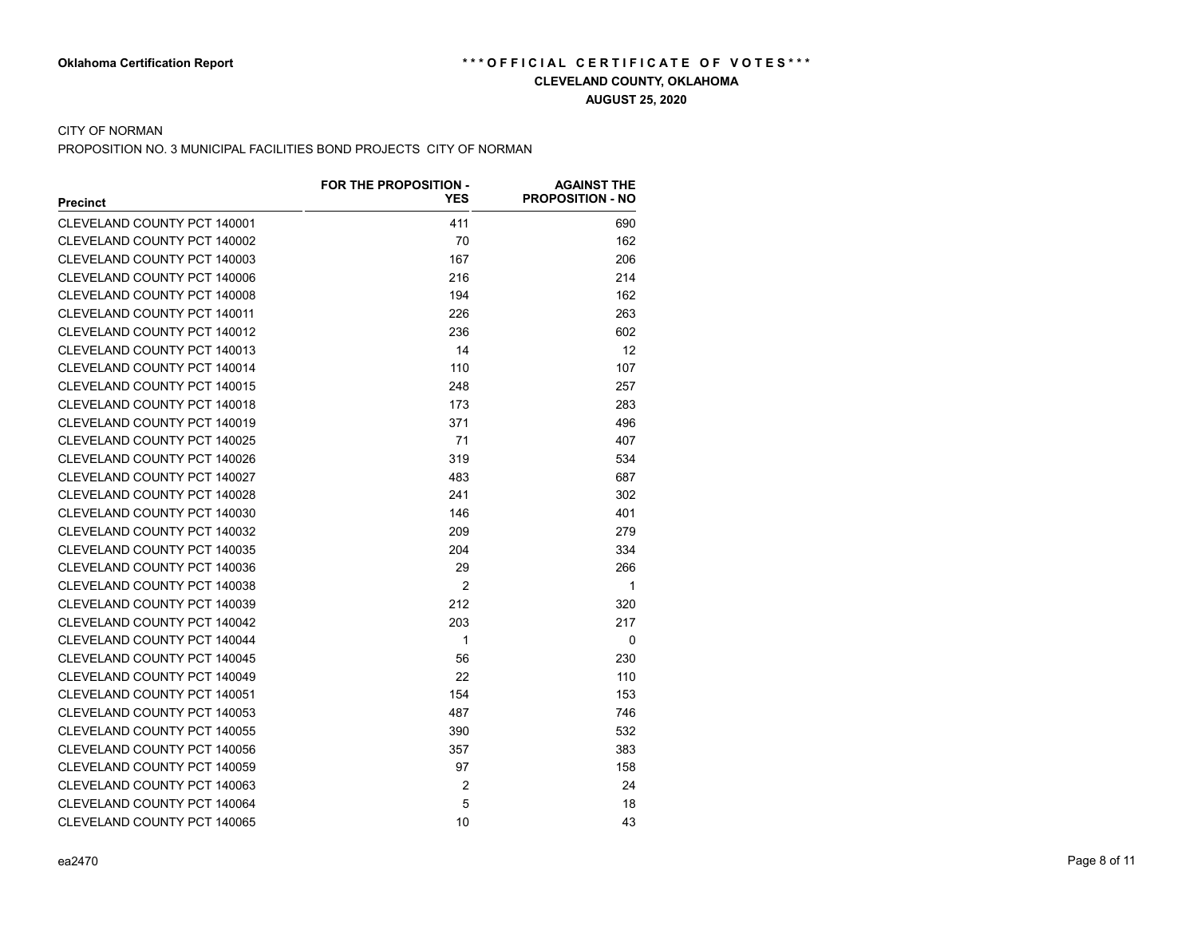# **AUGUST 25, 2020**

## CITY OF NORMAN

PROPOSITION NO. 3 MUNICIPAL FACILITIES BOND PROJECTS CITY OF NORMAN

|                             | FOR THE PROPOSITION - | <b>AGAINST THE</b>      |
|-----------------------------|-----------------------|-------------------------|
| <b>Precinct</b>             | <b>YES</b>            | <b>PROPOSITION - NO</b> |
| CLEVELAND COUNTY PCT 140001 | 411                   | 690                     |
| CLEVELAND COUNTY PCT 140002 | 70                    | 162                     |
| CLEVELAND COUNTY PCT 140003 | 167                   | 206                     |
| CLEVELAND COUNTY PCT 140006 | 216                   | 214                     |
| CLEVELAND COUNTY PCT 140008 | 194                   | 162                     |
| CLEVELAND COUNTY PCT 140011 | 226                   | 263                     |
| CLEVELAND COUNTY PCT 140012 | 236                   | 602                     |
| CLEVELAND COUNTY PCT 140013 | 14                    | 12                      |
| CLEVELAND COUNTY PCT 140014 | 110                   | 107                     |
| CLEVELAND COUNTY PCT 140015 | 248                   | 257                     |
| CLEVELAND COUNTY PCT 140018 | 173                   | 283                     |
| CLEVELAND COUNTY PCT 140019 | 371                   | 496                     |
| CLEVELAND COUNTY PCT 140025 | 71                    | 407                     |
| CLEVELAND COUNTY PCT 140026 | 319                   | 534                     |
| CLEVELAND COUNTY PCT 140027 | 483                   | 687                     |
| CLEVELAND COUNTY PCT 140028 | 241                   | 302                     |
| CLEVELAND COUNTY PCT 140030 | 146                   | 401                     |
| CLEVELAND COUNTY PCT 140032 | 209                   | 279                     |
| CLEVELAND COUNTY PCT 140035 | 204                   | 334                     |
| CLEVELAND COUNTY PCT 140036 | 29                    | 266                     |
| CLEVELAND COUNTY PCT 140038 | $\mathfrak{p}$        | $\mathbf{1}$            |
| CLEVELAND COUNTY PCT 140039 | 212                   | 320                     |
| CLEVELAND COUNTY PCT 140042 | 203                   | 217                     |
| CLEVELAND COUNTY PCT 140044 | 1                     | $\mathbf{0}$            |
| CLEVELAND COUNTY PCT 140045 | 56                    | 230                     |
| CLEVELAND COUNTY PCT 140049 | 22                    | 110                     |
| CLEVELAND COUNTY PCT 140051 | 154                   | 153                     |
| CLEVELAND COUNTY PCT 140053 | 487                   | 746                     |
| CLEVELAND COUNTY PCT 140055 | 390                   | 532                     |
| CLEVELAND COUNTY PCT 140056 | 357                   | 383                     |
| CLEVELAND COUNTY PCT 140059 | 97                    | 158                     |
| CLEVELAND COUNTY PCT 140063 | $\overline{2}$        | 24                      |
| CLEVELAND COUNTY PCT 140064 | 5                     | 18                      |
| CLEVELAND COUNTY PCT 140065 | 10                    | 43                      |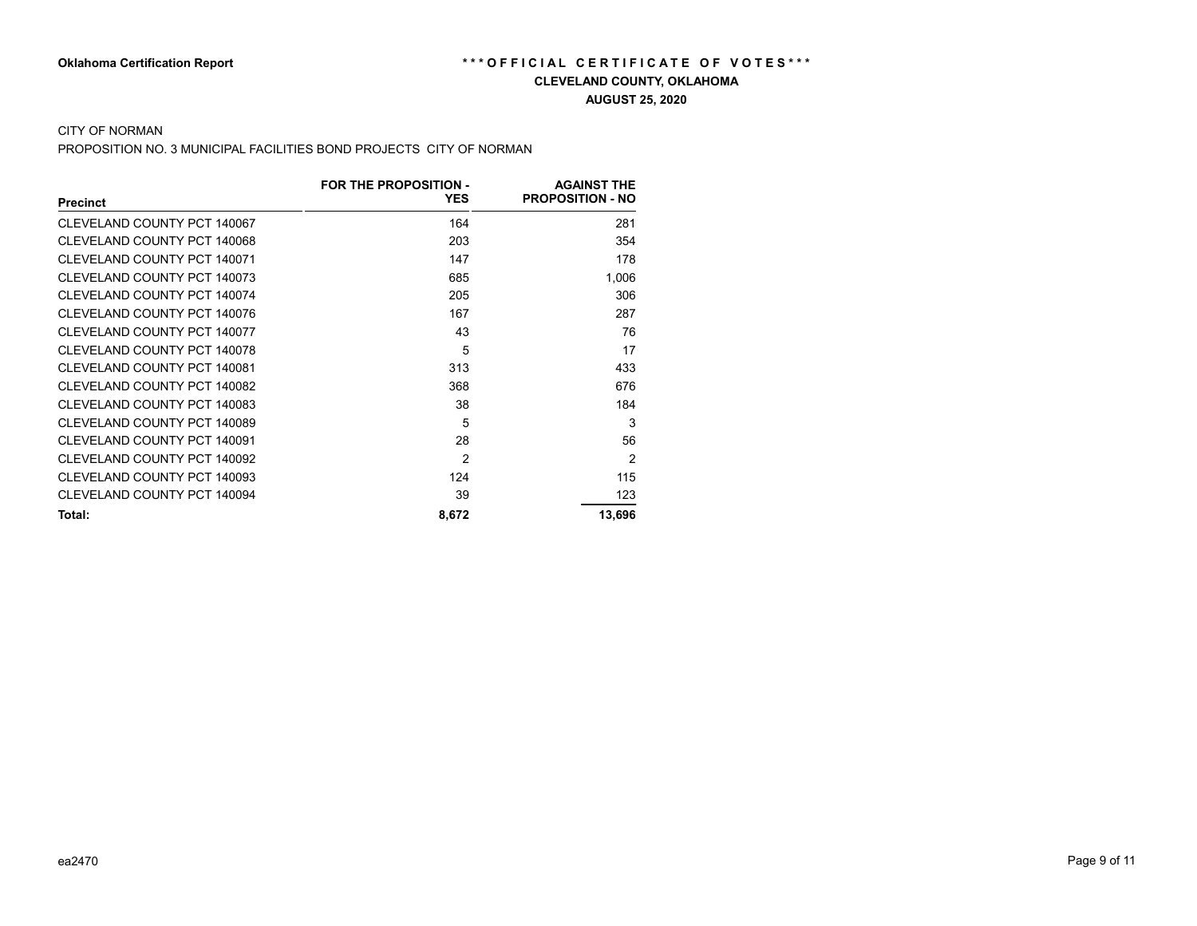## **AUGUST 25, 2020**

## CITY OF NORMAN

PROPOSITION NO. 3 MUNICIPAL FACILITIES BOND PROJECTS CITY OF NORMAN

|                             | <b>FOR THE PROPOSITION -</b> | <b>AGAINST THE</b>      |
|-----------------------------|------------------------------|-------------------------|
| <b>Precinct</b>             | <b>YES</b>                   | <b>PROPOSITION - NO</b> |
| CLEVELAND COUNTY PCT 140067 | 164                          | 281                     |
| CLEVELAND COUNTY PCT 140068 | 203                          | 354                     |
| CLEVELAND COUNTY PCT 140071 | 147                          | 178                     |
| CLEVELAND COUNTY PCT 140073 | 685                          | 1,006                   |
| CLEVELAND COUNTY PCT 140074 | 205                          | 306                     |
| CLEVELAND COUNTY PCT 140076 | 167                          | 287                     |
| CLEVELAND COUNTY PCT 140077 | 43                           | 76                      |
| CLEVELAND COUNTY PCT 140078 | 5                            | 17                      |
| CLEVELAND COUNTY PCT 140081 | 313                          | 433                     |
| CLEVELAND COUNTY PCT 140082 | 368                          | 676                     |
| CLEVELAND COUNTY PCT 140083 | 38                           | 184                     |
| CLEVELAND COUNTY PCT 140089 | 5                            | 3                       |
| CLEVELAND COUNTY PCT 140091 | 28                           | 56                      |
| CLEVELAND COUNTY PCT 140092 | $\mathfrak{p}$               | $\mathfrak{p}$          |
| CLEVELAND COUNTY PCT 140093 | 124                          | 115                     |
| CLEVELAND COUNTY PCT 140094 | 39                           | 123                     |
| Total:                      | 8,672                        | 13,696                  |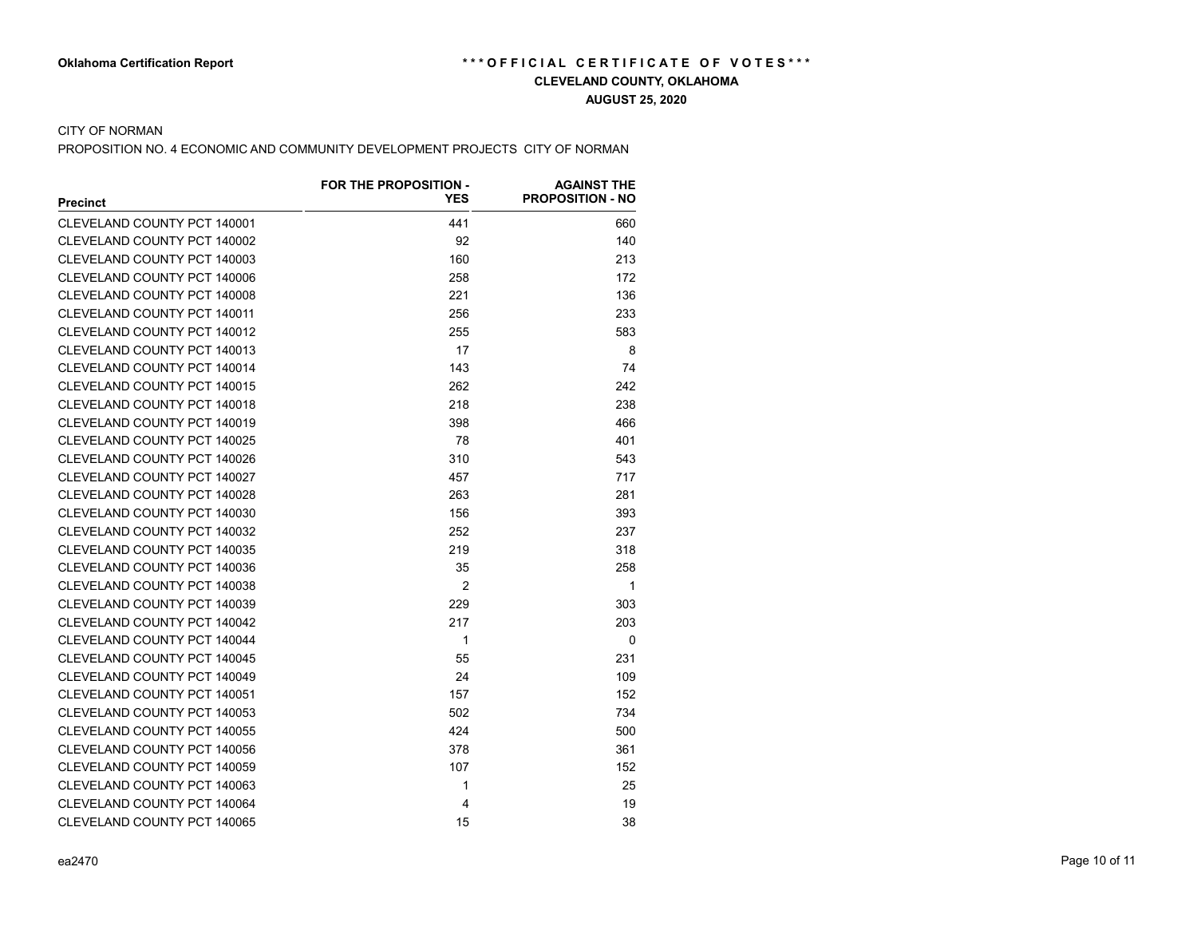### **AUGUST 25, 2020**

### CITY OF NORMAN

PROPOSITION NO. 4 ECONOMIC AND COMMUNITY DEVELOPMENT PROJECTS CITY OF NORMAN

|                                    | FOR THE PROPOSITION - | <b>AGAINST THE</b>      |
|------------------------------------|-----------------------|-------------------------|
| <b>Precinct</b>                    | <b>YES</b>            | <b>PROPOSITION - NO</b> |
| CLEVELAND COUNTY PCT 140001        | 441                   | 660                     |
| CLEVELAND COUNTY PCT 140002        | 92                    | 140                     |
| CLEVELAND COUNTY PCT 140003        | 160                   | 213                     |
| CLEVELAND COUNTY PCT 140006        | 258                   | 172                     |
| CLEVELAND COUNTY PCT 140008        | 221                   | 136                     |
| CLEVELAND COUNTY PCT 140011        | 256                   | 233                     |
| CLEVELAND COUNTY PCT 140012        | 255                   | 583                     |
| CLEVELAND COUNTY PCT 140013        | 17                    | 8                       |
| CLEVELAND COUNTY PCT 140014        | 143                   | 74                      |
| CLEVELAND COUNTY PCT 140015        | 262                   | 242                     |
| CLEVELAND COUNTY PCT 140018        | 218                   | 238                     |
| CLEVELAND COUNTY PCT 140019        | 398                   | 466                     |
| CLEVELAND COUNTY PCT 140025        | 78                    | 401                     |
| CLEVELAND COUNTY PCT 140026        | 310                   | 543                     |
| CLEVELAND COUNTY PCT 140027        | 457                   | 717                     |
| CLEVELAND COUNTY PCT 140028        | 263                   | 281                     |
| CLEVELAND COUNTY PCT 140030        | 156                   | 393                     |
| <b>CLEVELAND COUNTY PCT 140032</b> | 252                   | 237                     |
| CLEVELAND COUNTY PCT 140035        | 219                   | 318                     |
| CLEVELAND COUNTY PCT 140036        | 35                    | 258                     |
| CLEVELAND COUNTY PCT 140038        | $\overline{2}$        | 1                       |
| CLEVELAND COUNTY PCT 140039        | 229                   | 303                     |
| CLEVELAND COUNTY PCT 140042        | 217                   | 203                     |
| CLEVELAND COUNTY PCT 140044        | 1                     | $\mathbf 0$             |
| CLEVELAND COUNTY PCT 140045        | 55                    | 231                     |
| CLEVELAND COUNTY PCT 140049        | 24                    | 109                     |
| CLEVELAND COUNTY PCT 140051        | 157                   | 152                     |
| CLEVELAND COUNTY PCT 140053        | 502                   | 734                     |
| CLEVELAND COUNTY PCT 140055        | 424                   | 500                     |
| CLEVELAND COUNTY PCT 140056        | 378                   | 361                     |
| CLEVELAND COUNTY PCT 140059        | 107                   | 152                     |
| CLEVELAND COUNTY PCT 140063        | 1                     | 25                      |
| CLEVELAND COUNTY PCT 140064        | 4                     | 19                      |
| CLEVELAND COUNTY PCT 140065        | 15                    | 38                      |